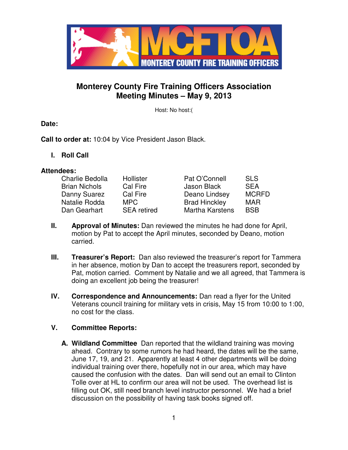

# **Monterey County Fire Training Officers Association Meeting Minutes – May 9, 2013**

Host: No host:(

**Date:**

**Call to order at:** 10:04 by Vice President Jason Black.

**I. Roll Call** 

#### **Attendees:**

| Charlie Bedolla      | Hollister          | Pat O'Connell          | <b>SLS</b>   |
|----------------------|--------------------|------------------------|--------------|
| <b>Brian Nichols</b> | Cal Fire           | Jason Black            | <b>SEA</b>   |
| Danny Suarez         | Cal Fire           | Deano Lindsey          | <b>MCRFD</b> |
| Natalie Rodda        | MPC.               | <b>Brad Hinckley</b>   | <b>MAR</b>   |
| Dan Gearhart         | <b>SEA</b> retired | <b>Martha Karstens</b> | <b>BSB</b>   |

- **II. Approval of Minutes:** Dan reviewed the minutes he had done for April, motion by Pat to accept the April minutes, seconded by Deano, motion carried.
- **III.** Treasurer's Report: Dan also reviewed the treasurer's report for Tammera in her absence, motion by Dan to accept the treasurers report, seconded by Pat, motion carried. Comment by Natalie and we all agreed, that Tammera is doing an excellent job being the treasurer!
- **IV. Correspondence and Announcements:** Dan read a flyer for the United Veterans council training for military vets in crisis, May 15 from 10:00 to 1:00, no cost for the class.

# **V. Committee Reports:**

**A. Wildland Committee** Dan reported that the wildland training was moving ahead. Contrary to some rumors he had heard, the dates will be the same, June 17, 19, and 21. Apparently at least 4 other departments will be doing individual training over there, hopefully not in our area, which may have caused the confusion with the dates. Dan will send out an email to Clinton Tolle over at HL to confirm our area will not be used. The overhead list is filling out OK, still need branch level instructor personnel. We had a brief discussion on the possibility of having task books signed off.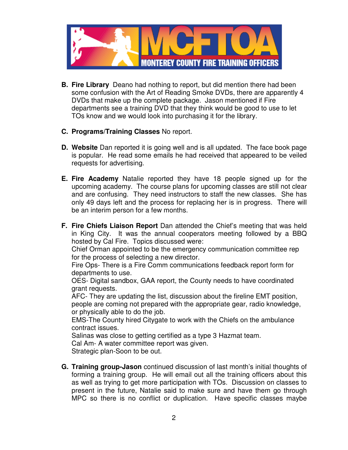

- **B. Fire Library** Deano had nothing to report, but did mention there had been some confusion with the Art of Reading Smoke DVDs, there are apparently 4 DVDs that make up the complete package. Jason mentioned if Fire departments see a training DVD that they think would be good to use to let TOs know and we would look into purchasing it for the library.
- **C. Programs/Training Classes** No report.
- **D. Website** Dan reported it is going well and is all updated. The face book page is popular. He read some emails he had received that appeared to be veiled requests for advertising.
- **E. Fire Academy** Natalie reported they have 18 people signed up for the upcoming academy. The course plans for upcoming classes are still not clear and are confusing. They need instructors to staff the new classes. She has only 49 days left and the process for replacing her is in progress. There will be an interim person for a few months.
- **F. Fire Chiefs Liaison Report** Dan attended the Chief's meeting that was held in King City. It was the annual cooperators meeting followed by a BBQ hosted by Cal Fire. Topics discussed were:

Chief Orman appointed to be the emergency communication committee rep for the process of selecting a new director.

Fire Ops- There is a Fire Comm communications feedback report form for departments to use.

OES- Digital sandbox, GAA report, the County needs to have coordinated grant requests.

AFC- They are updating the list, discussion about the fireline EMT position, people are coming not prepared with the appropriate gear, radio knowledge, or physically able to do the job.

EMS-The County hired Citygate to work with the Chiefs on the ambulance contract issues.

Salinas was close to getting certified as a type 3 Hazmat team.

Cal Am- A water committee report was given.

Strategic plan-Soon to be out.

**G. Training group-Jason** continued discussion of last month's initial thoughts of forming a training group. He will email out all the training officers about this as well as trying to get more participation with TOs. Discussion on classes to present in the future, Natalie said to make sure and have them go through MPC so there is no conflict or duplication. Have specific classes maybe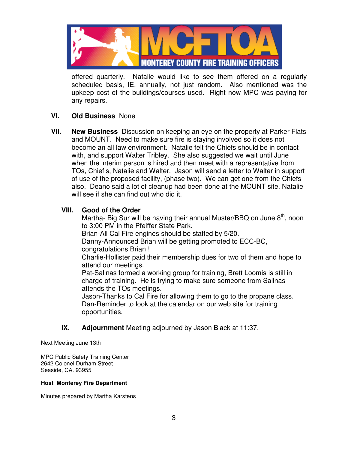

offered quarterly. Natalie would like to see them offered on a regularly scheduled basis, IE, annually, not just random. Also mentioned was the upkeep cost of the buildings/courses used. Right now MPC was paying for any repairs.

### **VI. Old Business** None

**VII. New Business** Discussion on keeping an eye on the property at Parker Flats and MOUNT. Need to make sure fire is staying involved so it does not become an all law environment. Natalie felt the Chiefs should be in contact with, and support Walter Tribley. She also suggested we wait until June when the interim person is hired and then meet with a representative from TOs, Chief's, Natalie and Walter. Jason will send a letter to Walter in support of use of the proposed facility, (phase two). We can get one from the Chiefs also. Deano said a lot of cleanup had been done at the MOUNT site, Natalie will see if she can find out who did it.

### **VIII. Good of the Order**

Martha- Big Sur will be having their annual Muster/BBQ on June  $8<sup>th</sup>$ , noon to 3:00 PM in the Pfeiffer State Park.

Brian-All Cal Fire engines should be staffed by 5/20.

Danny-Announced Brian will be getting promoted to ECC-BC,

congratulations Brian!!

Charlie-Hollister paid their membership dues for two of them and hope to attend our meetings.

Pat-Salinas formed a working group for training, Brett Loomis is still in charge of training. He is trying to make sure someone from Salinas attends the TOs meetings.

Jason-Thanks to Cal Fire for allowing them to go to the propane class. Dan-Reminder to look at the calendar on our web site for training opportunities.

# **IX. Adjournment** Meeting adjourned by Jason Black at 11:37.

Next Meeting June 13th

MPC Public Safety Training Center 2642 Colonel Durham Street Seaside, CA. 93955

#### **Host Monterey Fire Department**

Minutes prepared by Martha Karstens